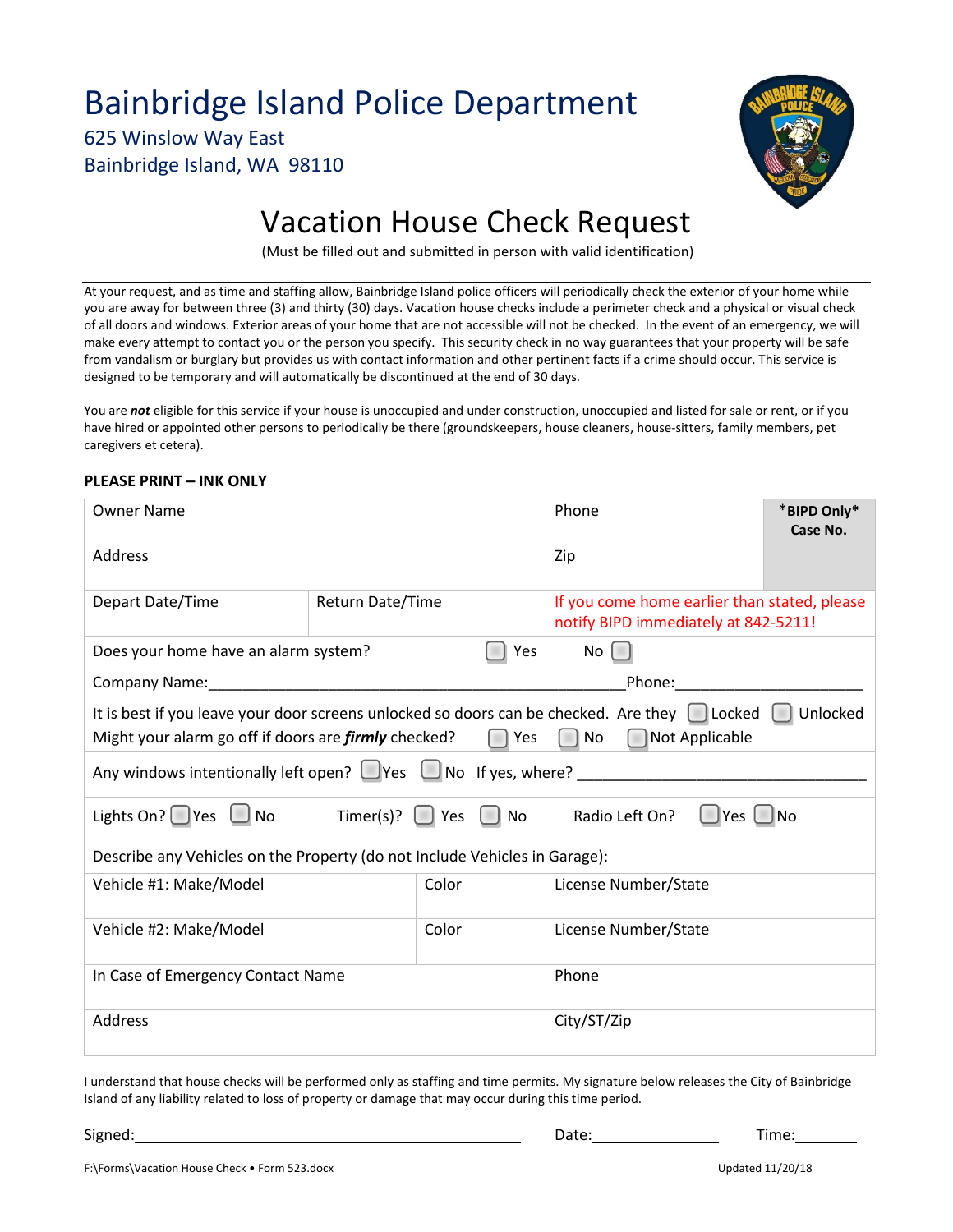## Bainbridge Island Police Department

625 Winslow Way East Bainbridge Island, WA 98110



# Vacation House Check Request

(Must be filled out and submitted in person with valid identification)

At your request, and as time and staffing allow, Bainbridge Island police officers will periodically check the exterior of your home while you are away for between three (3) and thirty (30) days. Vacation house checks include a perimeter check and a physical or visual check of all doors and windows. Exterior areas of your home that are not accessible will not be checked. In the event of an emergency, we will make every attempt to contact you or the person you specify. This security check in no way guarantees that your property will be safe from vandalism or burglary but provides us with contact information and other pertinent facts if a crime should occur. This service is designed to be temporary and will automatically be discontinued at the end of 30 days.

You are *not* eligible for this service if your house is unoccupied and under construction, unoccupied and listed for sale or rent, or if you have hired or appointed other persons to periodically be there (groundskeepers, house cleaners, house-sitters, family members, pet caregivers et cetera).

#### **PLEASE PRINT – INK ONLY**

| <b>Owner Name</b>                                                                                                                                                                                                              |                         |       | Phone                                                                                                          | *BIPD Only* |
|--------------------------------------------------------------------------------------------------------------------------------------------------------------------------------------------------------------------------------|-------------------------|-------|----------------------------------------------------------------------------------------------------------------|-------------|
|                                                                                                                                                                                                                                |                         |       |                                                                                                                | Case No.    |
| Address                                                                                                                                                                                                                        |                         |       | Zip                                                                                                            |             |
| Depart Date/Time                                                                                                                                                                                                               | <b>Return Date/Time</b> |       | If you come home earlier than stated, please<br>notify BIPD immediately at 842-5211!                           |             |
| Does your home have an alarm system?<br>Yes                                                                                                                                                                                    |                         |       | No                                                                                                             |             |
| Company Name: Name: Name and Separate and Separate and Separate and Separate and Separate and Separate and Separate and Separate and Separate and Separate and Separate and Separate and Separate and Separate and Separate an |                         |       | Phone: the control of the control of the control of the control of the control of the control of the control o |             |
| It is best if you leave your door screens unlocked so doors can be checked. Are they $\Box$ Locked $\Box$ Unlocked<br>Might your alarm go off if doors are <i>firmly</i> checked?<br>Yes<br>No<br>  Not Applicable             |                         |       |                                                                                                                |             |
| Any windows intentionally left open? $\Box$ Yes $\Box$ No If yes, where?                                                                                                                                                       |                         |       |                                                                                                                |             |
| Lights On? $\bigcirc$ Yes $\bigcup$ No Timer(s)? $\bigcirc$ Yes $\bigcirc$ No                                                                                                                                                  |                         |       | Radio Left On?<br>   Yes    No                                                                                 |             |
| Describe any Vehicles on the Property (do not Include Vehicles in Garage):                                                                                                                                                     |                         |       |                                                                                                                |             |
| Vehicle #1: Make/Model                                                                                                                                                                                                         |                         | Color | License Number/State                                                                                           |             |
| Vehicle #2: Make/Model                                                                                                                                                                                                         |                         | Color | License Number/State                                                                                           |             |
| In Case of Emergency Contact Name                                                                                                                                                                                              |                         |       | Phone                                                                                                          |             |
| Address                                                                                                                                                                                                                        |                         |       | City/ST/Zip                                                                                                    |             |

I understand that house checks will be performed only as staffing and time permits. My signature below releases the City of Bainbridge Island of any liability related to loss of property or damage that may occur during this time period.

Signed: \_\_\_\_\_\_\_\_\_\_\_\_\_\_\_\_\_\_\_\_\_\_ Date: \_\_\_\_ \_\_\_ Time: \_\_\_